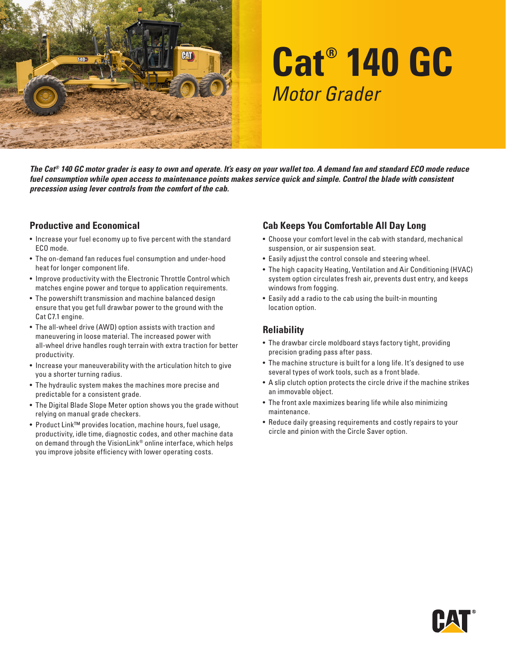

# **Cat® 140 GC** *Motor Grader*

*The Cat® 140 GC motor grader is easy to own and operate. It's easy on your wallet too. A demand fan and standard ECO mode reduce fuel consumption while open access to maintenance points makes service quick and simple. Control the blade with consistent precession using lever controls from the comfort of the cab.*

### **Productive and Economical**

- Increase your fuel economy up to five percent with the standard ECO mode.
- The on-demand fan reduces fuel consumption and under-hood heat for longer component life.
- Improve productivity with the Electronic Throttle Control which matches engine power and torque to application requirements.
- The powershift transmission and machine balanced design ensure that you get full drawbar power to the ground with the Cat C7.1 engine.
- The all-wheel drive (AWD) option assists with traction and maneuvering in loose material. The increased power with all-wheel drive handles rough terrain with extra traction for better productivity.
- Increase your maneuverability with the articulation hitch to give you a shorter turning radius.
- The hydraulic system makes the machines more precise and predictable for a consistent grade.
- The Digital Blade Slope Meter option shows you the grade without relying on manual grade checkers.
- Product Link™ provides location, machine hours, fuel usage, productivity, idle time, diagnostic codes, and other machine data on demand through the VisionLink® online interface, which helps you improve jobsite efficiency with lower operating costs.

# **Cab Keeps You Comfortable All Day Long**

- Choose your comfort level in the cab with standard, mechanical suspension, or air suspension seat.
- Easily adjust the control console and steering wheel.
- The high capacity Heating, Ventilation and Air Conditioning (HVAC) system option circulates fresh air, prevents dust entry, and keeps windows from fogging.
- Easily add a radio to the cab using the built-in mounting location option.

# **Reliability**

- The drawbar circle moldboard stays factory tight, providing precision grading pass after pass.
- The machine structure is built for a long life. It's designed to use several types of work tools, such as a front blade.
- A slip clutch option protects the circle drive if the machine strikes an immovable object.
- The front axle maximizes bearing life while also minimizing maintenance.
- Reduce daily greasing requirements and costly repairs to your circle and pinion with the Circle Saver option.

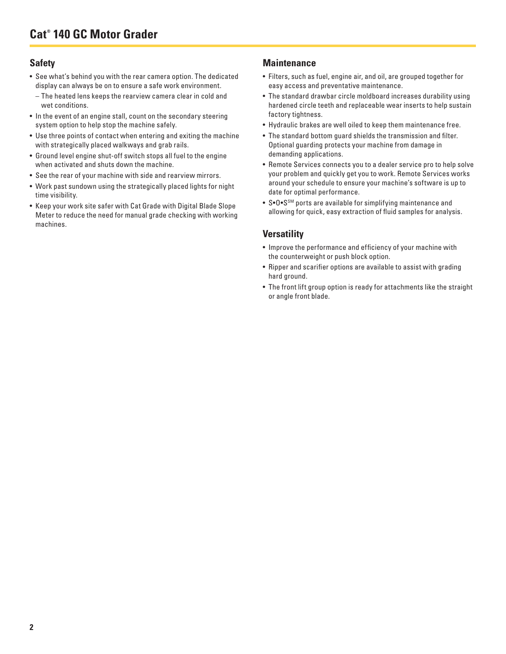## **Safety**

- See what's behind you with the rear camera option. The dedicated display can always be on to ensure a safe work environment.
- The heated lens keeps the rearview camera clear in cold and wet conditions.
- In the event of an engine stall, count on the secondary steering system option to help stop the machine safely.
- Use three points of contact when entering and exiting the machine with strategically placed walkways and grab rails.
- Ground level engine shut-off switch stops all fuel to the engine when activated and shuts down the machine.
- See the rear of your machine with side and rearview mirrors.
- Work past sundown using the strategically placed lights for night time visibility.
- Keep your work site safer with Cat Grade with Digital Blade Slope Meter to reduce the need for manual grade checking with working machines.

#### **Maintenance**

- Filters, such as fuel, engine air, and oil, are grouped together for easy access and preventative maintenance.
- The standard drawbar circle moldboard increases durability using hardened circle teeth and replaceable wear inserts to help sustain factory tightness.
- Hydraulic brakes are well oiled to keep them maintenance free.
- The standard bottom guard shields the transmission and filter. Optional guarding protects your machine from damage in demanding applications.
- Remote Services connects you to a dealer service pro to help solve your problem and quickly get you to work. Remote Services works around your schedule to ensure your machine's software is up to date for optimal performance.
- S•O•S<sup>SM</sup> ports are available for simplifying maintenance and allowing for quick, easy extraction of fluid samples for analysis.

### **Versatility**

- Improve the performance and efficiency of your machine with the counterweight or push block option.
- Ripper and scarifier options are available to assist with grading hard ground.
- The front lift group option is ready for attachments like the straight or angle front blade.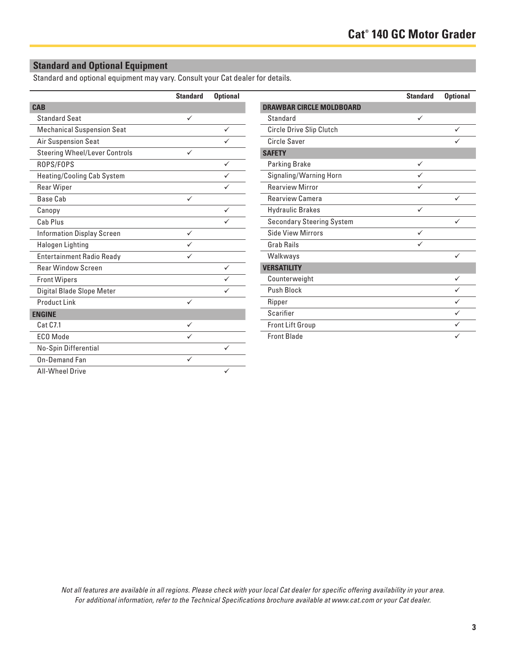# **Standard and Optional Equipment**

Standard and optional equipment may vary. Consult your Cat dealer for details.

|                                      | <b>Standard</b> | <b>Optional</b> |
|--------------------------------------|-----------------|-----------------|
| <b>CAB</b>                           |                 |                 |
| <b>Standard Seat</b>                 | ✓               |                 |
| <b>Mechanical Suspension Seat</b>    |                 | ✓               |
| Air Suspension Seat                  |                 |                 |
| <b>Steering Wheel/Lever Controls</b> | ✓               |                 |
| ROPS/FOPS                            |                 | ✓               |
| <b>Heating/Cooling Cab System</b>    |                 |                 |
| <b>Rear Wiper</b>                    |                 |                 |
| Base Cab                             | ✓               |                 |
| Canopy                               |                 | ✓               |
| Cab Plus                             |                 |                 |
| <b>Information Display Screen</b>    | ✓               |                 |
| Halogen Lighting                     |                 |                 |
| <b>Entertainment Radio Ready</b>     |                 |                 |
| <b>Rear Window Screen</b>            |                 | ✓               |
| <b>Front Wipers</b>                  |                 |                 |
| Digital Blade Slope Meter            |                 |                 |
| Product Link                         | ✓               |                 |
| <b>ENGINE</b>                        |                 |                 |
| Cat C7.1                             |                 |                 |
| ECO Mode                             |                 |                 |
| No-Spin Differential                 |                 |                 |
| On-Demand Fan                        | $\checkmark$    |                 |
| <b>All-Wheel Drive</b>               |                 |                 |

|                                  | <b>Standard</b> | <b>Optional</b> |
|----------------------------------|-----------------|-----------------|
| <b>DRAWBAR CIRCLE MOLDBOARD</b>  |                 |                 |
| Standard                         | ✓               |                 |
| Circle Drive Slip Clutch         |                 | ✓               |
| Circle Saver                     |                 |                 |
| <b>SAFETY</b>                    |                 |                 |
| <b>Parking Brake</b>             | ✓               |                 |
| Signaling/Warning Horn           |                 |                 |
| <b>Rearview Mirror</b>           |                 |                 |
| Rearview Camera                  |                 | ✓               |
| <b>Hydraulic Brakes</b>          | ✓               |                 |
| <b>Secondary Steering System</b> |                 |                 |
| Side View Mirrors                | ✓               |                 |
| Grab Rails                       |                 |                 |
| Walkways                         |                 | $\checkmark$    |
| <b>VERSATILITY</b>               |                 |                 |
| Counterweight                    |                 | ✓               |
| Push Block                       |                 |                 |
| Ripper                           |                 |                 |
| Scarifier                        |                 | ✓               |
| <b>Front Lift Group</b>          |                 |                 |
| <b>Front Blade</b>               |                 |                 |

*Not all features are available in all regions. Please check with your local Cat dealer for specific offering availability in your area. For additional information, refer to the Technical Specifications brochure available at www.cat.com or your Cat dealer.*